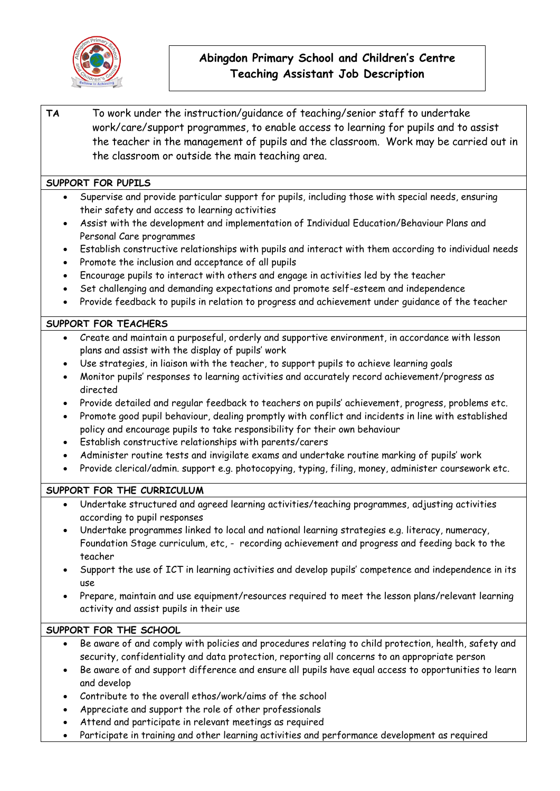

# **Abingdon Primary School and Children's Centre Teaching Assistant Job Description**

**TA** To work under the instruction/guidance of teaching/senior staff to undertake work/care/support programmes, to enable access to learning for pupils and to assist the teacher in the management of pupils and the classroom. Work may be carried out in the classroom or outside the main teaching area.

## **SUPPORT FOR PUPILS**

- Supervise and provide particular support for pupils, including those with special needs, ensuring their safety and access to learning activities
- Assist with the development and implementation of Individual Education/Behaviour Plans and Personal Care programmes
- Establish constructive relationships with pupils and interact with them according to individual needs
- Promote the inclusion and acceptance of all pupils
- Encourage pupils to interact with others and engage in activities led by the teacher
- Set challenging and demanding expectations and promote self-esteem and independence
- Provide feedback to pupils in relation to progress and achievement under guidance of the teacher

### **SUPPORT FOR TEACHERS**

- Create and maintain a purposeful, orderly and supportive environment, in accordance with lesson plans and assist with the display of pupils' work
- Use strategies, in liaison with the teacher, to support pupils to achieve learning goals
- Monitor pupils' responses to learning activities and accurately record achievement/progress as directed
- Provide detailed and regular feedback to teachers on pupils' achievement, progress, problems etc.
- Promote good pupil behaviour, dealing promptly with conflict and incidents in line with established policy and encourage pupils to take responsibility for their own behaviour
- Establish constructive relationships with parents/carers
- Administer routine tests and invigilate exams and undertake routine marking of pupils' work
- Provide clerical/admin. support e.g. photocopying, typing, filing, money, administer coursework etc.

### **SUPPORT FOR THE CURRICULUM**

- Undertake structured and agreed learning activities/teaching programmes, adjusting activities according to pupil responses
- Undertake programmes linked to local and national learning strategies e.g. literacy, numeracy, Foundation Stage curriculum, etc, - recording achievement and progress and feeding back to the teacher
- Support the use of ICT in learning activities and develop pupils' competence and independence in its use
- Prepare, maintain and use equipment/resources required to meet the lesson plans/relevant learning activity and assist pupils in their use

### **SUPPORT FOR THE SCHOOL**

- Be aware of and comply with policies and procedures relating to child protection, health, safety and security, confidentiality and data protection, reporting all concerns to an appropriate person
- Be aware of and support difference and ensure all pupils have equal access to opportunities to learn and develop
- Contribute to the overall ethos/work/aims of the school
- Appreciate and support the role of other professionals
- Attend and participate in relevant meetings as required
- Participate in training and other learning activities and performance development as required